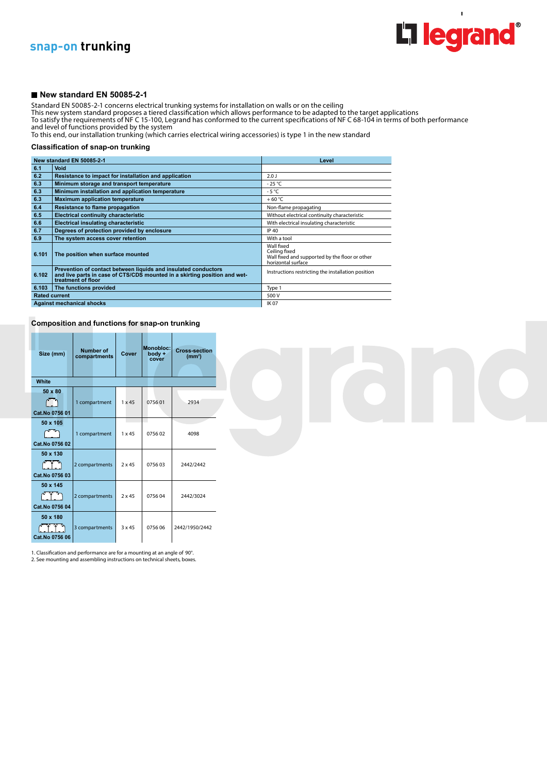

 $\overline{1}$ 

## **snap-on trunking**

### **New standard EN 50085-2-1**

Standard EN 50085-2-1 concerns electrical trunking systems for installation on walls or on the ceiling

This new system standard proposes a tiered classification which allows performance to be adapted to the target applications

To satisfy the requirements of NF C 15-100, Legrand has conformed to the current specifications of NF C 68-104 in terms of both performance and level of functions provided by the system

To this end, our installation trunking (which carries electrical wiring accessories) is type 1 in the new standard

#### **Classification of snap-on trunking**

|       | New standard EN 50085-2-1                                                                                                                                         | Level                                                                                               |  |  |  |
|-------|-------------------------------------------------------------------------------------------------------------------------------------------------------------------|-----------------------------------------------------------------------------------------------------|--|--|--|
| 6.1   | Void                                                                                                                                                              |                                                                                                     |  |  |  |
| 6.2   | Resistance to impact for installation and application                                                                                                             | 2.0 <sub>1</sub>                                                                                    |  |  |  |
| 6.3   | Minimum storage and transport temperature                                                                                                                         | $-25^{\circ}$ C                                                                                     |  |  |  |
| 6.3   | Minimum installation and application temperature                                                                                                                  | $-5^{\circ}$ C                                                                                      |  |  |  |
| 6.3   | <b>Maximum application temperature</b>                                                                                                                            | $+60 °C$                                                                                            |  |  |  |
| 6.4   | Resistance to flame propagation                                                                                                                                   | Non-flame propagating                                                                               |  |  |  |
| 6.5   | <b>Electrical continuity characteristic</b>                                                                                                                       | Without electrical continuity characteristic                                                        |  |  |  |
| 6.6   | <b>Electrical insulating characteristic</b>                                                                                                                       | With electrical insulating characteristic                                                           |  |  |  |
| 6.7   | Degrees of protection provided by enclosure                                                                                                                       | IP 40                                                                                               |  |  |  |
| 6.9   | The system access cover retention                                                                                                                                 | With a tool                                                                                         |  |  |  |
| 6.101 | The position when surface mounted                                                                                                                                 | Wall fixed<br>Ceiling fixed<br>Wall fixed and supported by the floor or other<br>horizontal surface |  |  |  |
| 6.102 | Prevention of contact between liquids and insulated conductors<br>and live parts in case of CTS/CDS mounted in a skirting position and wet-<br>treatment of floor | Instructions restricting the installation position                                                  |  |  |  |
| 6.103 | The functions provided                                                                                                                                            | Type 1                                                                                              |  |  |  |
|       | <b>Rated current</b>                                                                                                                                              | 500 V                                                                                               |  |  |  |
|       | <b>Against mechanical shocks</b>                                                                                                                                  | <b>IK07</b>                                                                                         |  |  |  |

**Composition and functions for snap-on trunking**

--

| Size (mm)                                                | <b>Number of</b><br>compartments | Cover         | <b>Monobloc:</b><br>body +<br>cover | <b>Cross-section</b><br>(mm <sup>2</sup> ) |  |  |  |  |  |
|----------------------------------------------------------|----------------------------------|---------------|-------------------------------------|--------------------------------------------|--|--|--|--|--|
| White                                                    |                                  |               |                                     |                                            |  |  |  |  |  |
| 50 x 80<br>Cat.No 0756 01                                | 1 compartment                    | $1 \times 45$ | 075601                              | 2934                                       |  |  |  |  |  |
| 50 x 105<br>ر<br>س<br>Cat.No 0756 02                     | 1 compartment                    | $1 \times 45$ | 075602                              | 4098                                       |  |  |  |  |  |
| 50 x 130<br>$\int_{0}^{2\pi}$<br>Cat.No 0756 03          | 2 compartments                   | $2 \times 45$ | 075603                              | 2442/2442                                  |  |  |  |  |  |
| 50 x 145<br>ليستعيبا<br>2 compartments<br>Cat.No 0756 04 |                                  | $2 \times 45$ | 075604                              | 2442/3024                                  |  |  |  |  |  |
| 50 x 180<br>Cat.No 0756 06                               | 3 compartments                   | $3 \times 45$ | 075606                              | 2442/1950/2442                             |  |  |  |  |  |

1. Classification and performance are for a mounting at an angle of 90°. 2. See mounting and assembling instructions on technical sheets, boxes.